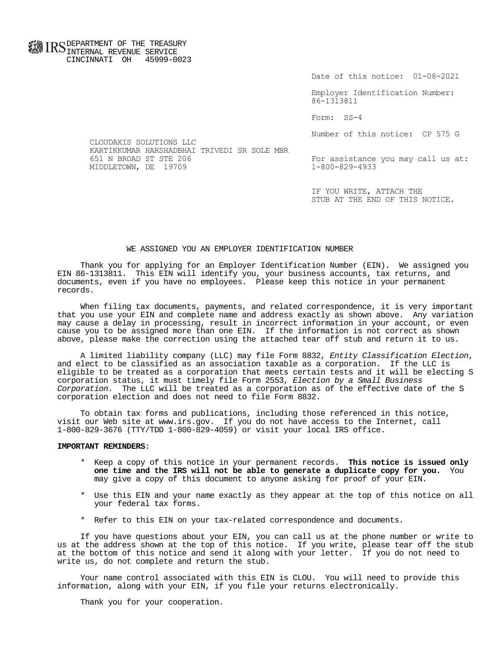**FOR ID C** DEPARTMENT OF THE TREASURY **WWW IIND** INTERNAL REVENUE SERVICE CINCINNATI OH 45999-0023

Date of this notice: 01-08-2021

Employer Identification Number: 86-1313811

Form: SS-4

Number of this notice: CP 575 G

CLOUDAXIS SOLUTIONS LLC KARTIKKUMAR HARSHADBHAI TRIVEDI SR SOLE MBR MIDDLETOWN, DE 19709

For assistance you may call us at:<br>1-800-829-4933

IF YOU WRITE, ATTACH THE STUB AT THE END OF THIS NOTICE.

## WE ASSIGNED YOU AN EMPLOYER IDENTIFICATION NUMBER

 Thank you for applying for an Employer Identification Number (EIN). We assigned you EIN 86-1313811. This EIN will identify you, your business accounts, tax returns, and documents, even if you have no employees. Please keep this notice in your permanent records.

 When filing tax documents, payments, and related correspondence, it is very important that you use your EIN and complete name and address exactly as shown above. Any variation may cause a delay in processing, result in incorrect information in your account, or even cause you to be assigned more than one EIN. If the information is not correct as shown above, please make the correction using the attached tear off stub and return it to us.

A limited liability company (LLC) may file Form 8832, Entity Classification Election, and elect to be classified as an association taxable as a corporation. If the LLC is eligible to be treated as a corporation that meets certain tests and it will be electing S corporation status, it must timely file Form 2553, Election by a Small Business Corporation. The LLC will be treated as a corporation as of the effective date of the S corporation election and does not need to file Form 8832.

 To obtain tax forms and publications, including those referenced in this notice, visit our Web site at www.irs.gov. If you do not have access to the Internet, call 1-800-829-3676 (TTY/TDD 1-800-829-4059) or visit your local IRS office.

## **IMPORTANT REMINDERS**:

- \* Keep a copy of this notice in your permanent records. **This notice is issued only one time and the IRS will not be able to generate a duplicate copy for you.** You may give a copy of this document to anyone asking for proof of your EIN.
- \* Use this EIN and your name exactly as they appear at the top of this notice on all your federal tax forms.
- \* Refer to this EIN on your tax-related correspondence and documents.

 If you have questions about your EIN, you can call us at the phone number or write to us at the address shown at the top of this notice. If you write, please tear off the stub at the bottom of this notice and send it along with your letter. If you do not need to write us, do not complete and return the stub.

 Your name control associated with this EIN is CLOU. You will need to provide this information, along with your EIN, if you file your returns electronically.

Thank you for your cooperation.